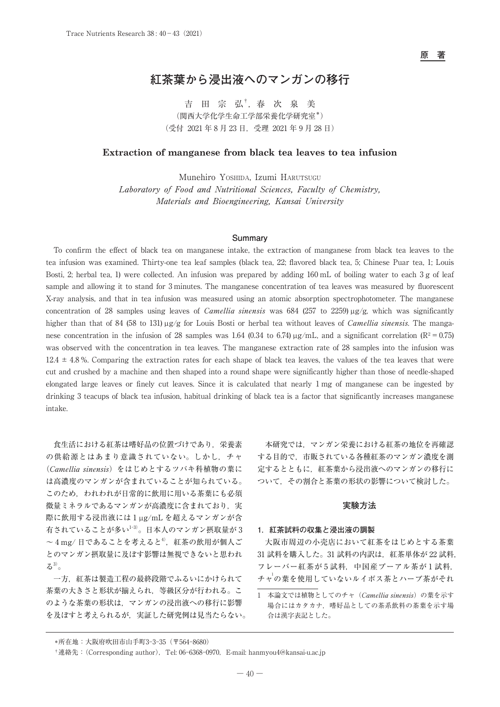**原 著**

# **紅茶葉から浸出液へのマンガンの移行**

吉 田 宗 弘†,春 次 泉 美 (関西大学化学生命工学部栄養化学研究室\*) (受付 2021 年 8 月 23 日,受理 2021 年 9 月 28 日)

# **Extraction of manganese from black tea leaves to tea infusion**

Munehiro Yoshida, Izumi HARUTSUGU Laboratory of Food and Nutritional Sciences, Faculty of Chemistry, Materials and Bioengineering, Kansai University

## **Summary**

To confirm the effect of black tea on manganese intake, the extraction of manganese from black tea leaves to the tea infusion was examined. Thirty-one tea leaf samples (black tea, 22; flavored black tea, 5; Chinese Puar tea, 1; Louis Bosti, 2; herbal tea, 1) were collected. An infusion was prepared by adding 160 mL of boiling water to each 3 g of leaf sample and allowing it to stand for 3 minutes. The manganese concentration of tea leaves was measured by fluorescent X-ray analysis, and that in tea infusion was measured using an atomic absorption spectrophotometer. The manganese concentration of 28 samples using leaves of *Camellia sinensis* was 684 (257 to 2259)  $\mu$ g/g, which was significantly higher than that of 84 (58 to 131) µg/g for Louis Bosti or herbal tea without leaves of *Camellia sinensis*. The manganese concentration in the infusion of 28 samples was 1.64 (0.34 to 6.74)  $\mu$ g/mL, and a significant correlation (R<sup>2</sup> = 0.75) was observed with the concentration in tea leaves. The manganese extraction rate of 28 samples into the infusion was  $12.4 \pm 4.8$ %. Comparing the extraction rates for each shape of black tea leaves, the values of the tea leaves that were cut and crushed by a machine and then shaped into a round shape were significantly higher than those of needle-shaped elongated large leaves or finely cut leaves. Since it is calculated that nearly 1 mg of manganese can be ingested by drinking 3 teacups of black tea infusion, habitual drinking of black tea is a factor that significantly increases manganese intake.

食生活における紅茶は嗜好品の位置づけであり,栄養素 の供給源とはあまり意識されていない。しかし、チャ (Camellia sinensis)をはじめとするツバキ科植物の葉に は高濃度のマンガンが含まれていることが知られている。 このため,われわれが日常的に飲用に用いる茶葉にも必須 微量ミネラルであるマンガンが高濃度に含まれており,実 際に飲用する浸出液には 1 µg/mL を超えるマンガンが含 有されていることが多い1-3)。日本人のマンガン摂取量が 3  $\sim$  4 mg/ 日であることを考えると<sup>4</sup>, 紅茶の飲用が個人ご とのマンガン摂取量に及ぼす影響は無視できないと思われ  $5^{3)}$ 。

一方,紅茶は製造工程の最終段階でふるいにかけられて 茶葉の大きさと形状が揃えられ,等級区分が行われる。こ のような茶葉の形状は,マンガンの浸出液への移行に影響 を及ぼすと考えられるが,実証した研究例は見当たらない。

本研究では,マンガン栄養における紅茶の地位を再確認 する目的で,市販されている各種紅茶のマンガン濃度を測 定するとともに,紅茶葉から浸出液へのマンガンの移行に ついて,その割合と茶葉の形状の影響について検討した。

### **実験方法**

# **1.紅茶試料の収集と浸出液の調製**

大阪市周辺の小売店において紅茶をはじめとする茶葉 31 試料を購入した。31 試料の内訳は、紅茶単体が 22 試料, フレーバー紅茶が5試料,中国産プーアル茶が1試料, チャ<sup>1</sup>の葉を使用していないルイボス茶とハーブ茶がそれ

1 本論文では植物としてのチャ(Camellia sinensis)の葉を示す 場合にはカタカナ,嗜好品としての茶系飲料の茶葉を示す場 合は漢字表記とした。

 <sup>\*</sup>所在地:大阪府吹田市山手町3-3-35(〒564-8680)

 <sup>†</sup>連絡先:(Corresponding author),Tel: 06-6368-0970,E-mail: hanmyou4@kansai-u.ac.jp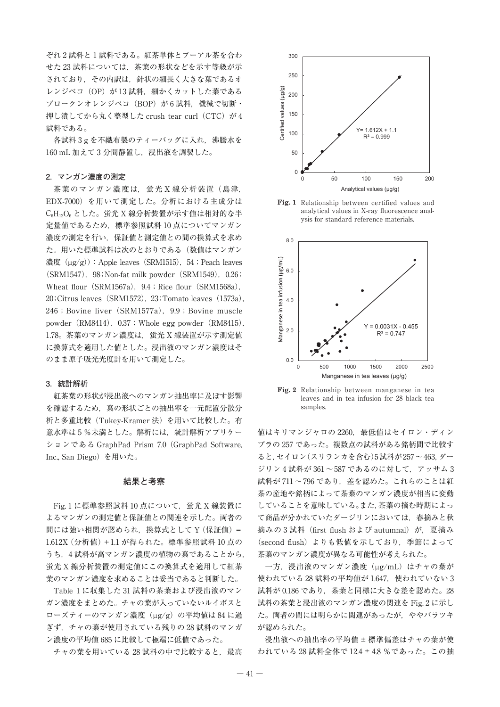ぞれ 2 試料と 1 試料である。紅茶単体とプーアル茶を合わ せた 23 試料については,茶葉の形状などを示す等級が示 されており,その内訳は,針状の細長く大きな葉であるオ レンジペコ (OP) が 13 試料, 細かくカットした葉である ブロークンオレンジペコ (BOP) が6試料, 機械で切断・ 押し潰してから丸く整型した crush tear curl (CTC) が 4 試料である。

各試料 3 g を不織布製のティーバッグに入れ、沸騰水を 160 mL 加えて3分間静置し、浸出液を調製した。

#### **2.マンガン濃度の測定**

茶葉のマンガン濃度は,蛍光 X 線分析装置 (島津, EDX-7000)を用いて測定した。分析における主成分は C<sub>6</sub>H<sub>12</sub>O<sub>6</sub> とした。蛍光 X 線分析装置が示す値は相対的な半 定量値であるため,標準参照試料 10 点についてマンガン 濃度の測定を行い,保証値と測定値との間の換算式を求め た。用いた標準試料は次のとおりである(数値はマンガン 濃度 $(\mu g/g)$ : Apple leaves (SRM1515), 54; Peach leaves (SRM1547), 98; Non-fat milk powder (SRM1549), 0.26; Wheat flour (SRM1567a),  $9.4$ ; Rice flour (SRM1568a),  $20$ ;Citrus leaves (SRM1572),  $23$ ;Tomato leaves (1573a), 246; Bovine liver (SRM1577a), 9.9; Bovine muscle powder (RM8414), 0.37; Whole egg powder (RM8415), 1.78。茶葉のマンガン濃度は、蛍光 X 線装置が示す測定値 に換算式を適用した値とした。浸出液のマンガン濃度はそ のまま原子吸光光度計を用いて測定した。

## **3.統計解析**

紅茶葉の形状が浸出液へのマンガン抽出率に及ぼす影響 を確認するため,葉の形状ごとの抽出率を一元配置分散分 析と多重比較(Tukey-Kramer 法)を用いて比較した。有 意水準は5%未満とした。解析には、統計解析アプリケー ションである GraphPad Prism 7.0 (GraphPad Software, Inc., San Diego)を用いた。

### **結果と考察**

Fig. 1 に標準参照試料 10 点について、蛍光 X 線装置に よるマンガンの測定値と保証値との関連を示した。両者の 間には強い相関が認められ、換算式として Y (保証値) = 1.612X(分析値)+1.1 が得られた。標準参照試料 10 点の うち、4 試料が高マンガン濃度の植物の葉であることから, 蛍光 X 線分析装置の測定値にこの換算式を適用して紅茶 葉のマンガン濃度を求めることは妥当であると判断した。

Table 1 に収集した 31 試料の茶葉および浸出液のマン ガン濃度をまとめた。チャの葉が入っていないルイボスと ローズティーのマンガン濃度 (ug/g) の平均値は 84 に過 ぎず,チャの葉が使用されている残りの 28 試料のマンガ ン濃度の平均値 685 に比較して極端に低値であった。

チャの葉を用いている28 試料の中で比較すると、最高



**Fig. 1** Relationship between certified values and analytical values in X-ray fluorescence analysis for standard reference materials.



**Fig. 2** Relationship between manganese in tea leaves and in tea infusion for 28 black tea samples.

値はキリマンジャロの 2260, 最低値はセイロン・ディン ブラの 257 であった。複数点の試料がある銘柄間で比較す ると,セイロン(スリランカを含む)5試料が257〜463,ダー ジリン 4 試料が 361〜587 であるのに対して,アッサム 3 試料が 711〜796 であり,差を認めた。これらのことは紅 茶の産地や銘柄によって茶葉のマンガン濃度が相当に変動 していることを意味している。また,茶葉の摘む時期によっ て商品が分かれていたダージリンにおいては,春摘みと秋 摘みの 3 試料(first flush および autumnal)が,夏摘み (second flush) よりも低値を示しており、季節によって 茶葉のマンガン濃度が異なる可能性が考えられた。

一方, 浸出液のマンガン濃度 (µg/mL) はチャの葉が 使われている 28 試料の平均値が 1.647,使われていない 3 試料が 0.186 であり、茶葉と同様に大きな差を認めた。28 試料の茶葉と浸出液のマンガン濃度の関連を Fig. 2 に示し た。両者の間には明らかに関連があったが,ややバラツキ が認められた。

浸出液への抽出率の平均値±標準偏差はチャの葉が使 われている 28 試料全体で 12.4±4.8 %であった。この抽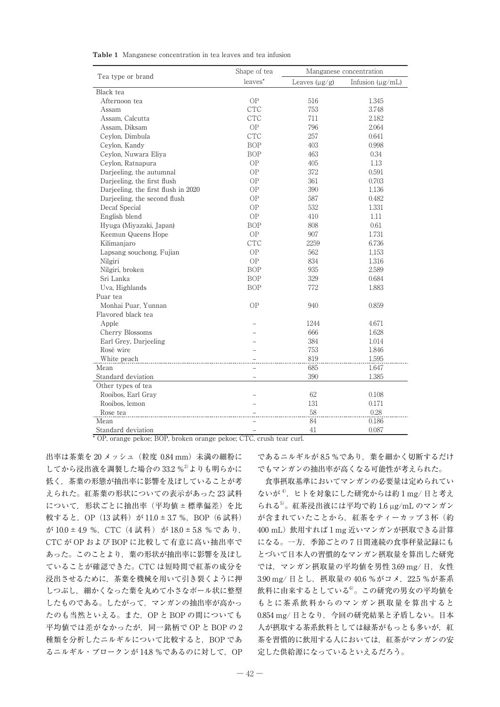| <b>Table 1</b> Manganese concentration in tea leaves and tea infusion |  |  |
|-----------------------------------------------------------------------|--|--|
|-----------------------------------------------------------------------|--|--|

| Tea type or brand                   | Shape of tea             | Manganese concentration |                       |
|-------------------------------------|--------------------------|-------------------------|-----------------------|
|                                     | leaves*                  | Leaves $(\mu g/g)$      | Infusion $(\mu g/mL)$ |
| Black tea                           |                          |                         |                       |
| Afternoon tea                       | <b>OP</b>                | 516                     | 1.345                 |
| Assam                               | <b>CTC</b>               | 753                     | 3.748                 |
| Assam. Calcutta                     | <b>CTC</b>               | 711                     | 2.182                 |
| Assam, Diksam                       | ${\rm OP}$               | 796                     | 2.064                 |
| Ceylon, Dimbula                     | <b>CTC</b>               | 257                     | 0.641                 |
| Ceylon, Kandy                       | <b>BOP</b>               | 403                     | 0.998                 |
| Ceylon, Nuwara Eliya                | <b>BOP</b>               | 463                     | 0.34                  |
| Ceylon, Ratnapura                   | <b>OP</b>                | 405                     | 1.13                  |
| Darjeeling, the autumnal            | <b>OP</b>                | 372                     | 0.591                 |
| Darjeeling, the first flush         | <b>OP</b>                | 361                     | 0.703                 |
| Darjeeling, the first flush in 2020 | OP                       | 390                     | 1,136                 |
| Darjeeling, the second flush        | <b>OP</b>                | 587                     | 0.482                 |
| Decaf Special                       | OP                       | 532                     | 1.331                 |
| English blend                       | ${\rm OP}$               | 410                     | 1.11                  |
| Hyuga (Miyazaki, Japan)             | <b>BOP</b>               | 808                     | 0.61                  |
| Keemun Queens Hope                  | <b>OP</b>                | 907                     | 1.731                 |
| Kilimanjaro                         | <b>CTC</b>               | 2259                    | 6.736                 |
| Lapsang souchong, Fujian            | <b>OP</b>                | 562                     | 1.153                 |
| Nilgiri                             | <b>OP</b>                | 834                     | 1.316                 |
| Nilgiri, broken                     | <b>BOP</b>               | 935                     | 2.589                 |
| Sri Lanka                           | <b>BOP</b>               | 329                     | 0.684                 |
| Uva, Highlands                      | <b>BOP</b>               | 772                     | 1.883                 |
| Puar tea                            |                          |                         |                       |
| Monhai Puar. Yunnan                 | <b>OP</b>                | 940                     | 0.859                 |
| Flavored black tea                  |                          |                         |                       |
| Apple                               |                          | 1244                    | 4.671                 |
| Cherry Blossoms                     |                          | 666                     | 1.628                 |
| Earl Grey, Darjeeling               |                          | 384                     | 1.014                 |
| Rosé wire                           |                          | 753                     | 1.846                 |
| White peach                         |                          | 819                     | 1.595                 |
| Mean                                |                          | 685                     | 1.647                 |
| Standard deviation                  | $\overline{\phantom{0}}$ | 390                     | 1.385                 |
| Other types of tea                  |                          |                         |                       |
| Rooibos, Earl Gray                  |                          | 62                      | 0.108                 |
| Rooibos, lemon                      |                          | 131                     | 0.171                 |
| Rose tea                            |                          | 58                      | 0.28                  |
| Mean                                |                          | 84                      | 0.186                 |
| Standard deviation                  | $\overline{\phantom{0}}$ | 41                      | 0.087                 |

\* OP, orange pekoe; BOP, broken orange pekoe; CTC, crush tear curl.

出率は茶葉を 20 メッシュ(粒度 0.84 mm)未満の細粉に してから浸出液を調製した場合の 33.2 %<sup>2)</sup>よりも明らかに 低く,茶葉の形態が抽出率に影響を及ぼしていることが考 えられた。紅茶葉の形状についての表示があった 23 試料 について,形状ごとに抽出率(平均値±標準偏差)を比 較すると, OP (13 試料) が 11.0 ± 3.7 %, BOP (6 試料) が 10.0 ± 4.9 %, CTC (4 試料) が 18.0 ± 5.8 % であり, CTC が OP および BOP に比較して有意に高い抽出率で あった。このことより,葉の形状が抽出率に影響を及ぼし ていることが確認できた。CTC は短時間で紅茶の成分を 浸出させるために,茶葉を機械を用いて引き裂くように押 しつぶし,細かくなった葉を丸めて小さなボール状に整型 したものである。したがって,マンガンの抽出率が高かっ たのも当然といえる。また,OP と BOP の間についても 平均値では差がなかったが,同一銘柄で OP と BOP の 2 種類を分析したニルギルについて比較すると,BOP であ るニルギル・ブロークンが 14.8 %であるのに対して、OP

であるニルギルが 8.5 %であり,葉を細かく切断するだけ でもマンガンの抽出率が高くなる可能性が考えられた。

食事摂取基準においてマンガンの必要量は定められてい ないが<sup>4)</sup>, ヒトを対象にした研究からは約1mg/日と考え られる5)。紅茶浸出液には平均で約 1.6 µg/mL のマンガン が含まれていたことから、紅茶をティーカップ3杯(約 400 mL)飲用すれば 1 mg 近いマンガンが摂取できる計算 になる。一方,季節ごとの 7 日間連続の食事秤量記録にも とづいて日本人の習慣的なマンガン摂取量を算出した研究 では、マンガン摂取量の平均値を男性 3.69 mg/日, 女性 3.90 mg/日とし, 摂取量の 40.6 %がコメ, 22.5 %が茶系 飲料に由来するとしている6)。この研究の男女の平均値を もとに茶系飲料からのマンガン摂取量を算出すると 0.854 mg/日となり、今回の研究結果と矛盾しない。日本 人が摂取する茶系飲料としては緑茶がもっとも多いが、紅 茶を習慣的に飲用する人においては,紅茶がマンガンの安 定した供給源になっているといえるだろう。